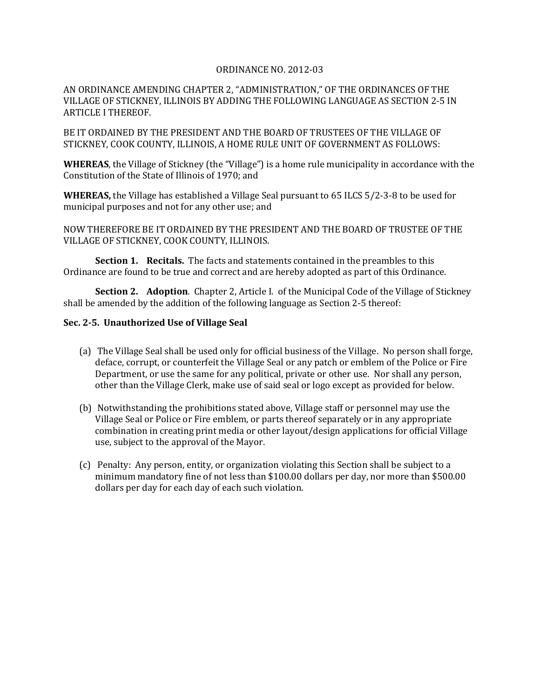## ORDINANCE NO. 2012-03

AN ORDINANCE AMENDING CHAPTER 2, "ADMINISTRATION," OF THE ORDINANCES OF THE VILLAGE OF STICKNEY, ILLINOIS BY ADDING THE FOLLOWING LANGUAGE AS SECTION 2-5 IN ARTICLE I THEREOF.

BE IT ORDAINED BY THE PRESIDENT AND THE BOARD OF TRUSTEES OF THE VILLAGE OF STICKNEY, COOK COUNTY, ILLINOIS, A HOME RULE UNIT OF GOVERNMENT AS FOLLOWS:

**WHEREAS**, the Village of Stickney (the "Village") is a home rule municipality in accordance with the Constitution of the State of Illinois of 1970; and

**WHEREAS,** the Village has established a Village Seal pursuant to 65 ILCS 5/2-3-8 to be used for municipal purposes and not for any other use; and

NOW THEREFORE BE IT ORDAINED BY THE PRESIDENT AND THE BOARD OF TRUSTEE OF THE VILLAGE OF STICKNEY, COOK COUNTY, ILLINOIS.

**Section 1. Recitals.** The facts and statements contained in the preambles to this Ordinance are found to be true and correct and are hereby adopted as part of this Ordinance.

**Section 2. Adoption**. Chapter 2, Article I. of the Municipal Code of the Village of Stickney shall be amended by the addition of the following language as Section 2-5 thereof:

## **Sec. 2-5. Unauthorized Use of Village Seal**

- (a) The Village Seal shall be used only for official business of the Village. No person shall forge, deface, corrupt, or counterfeit the Village Seal or any patch or emblem of the Police or Fire Department, or use the same for any political, private or other use. Nor shall any person, other than the Village Clerk, make use of said seal or logo except as provided for below.
- (b) Notwithstanding the prohibitions stated above, Village staff or personnel may use the Village Seal or Police or Fire emblem, or parts thereof separately or in any appropriate combination in creating print media or other layout/design applications for official Village use, subject to the approval of the Mayor.
- (c) Penalty: Any person, entity, or organization violating this Section shall be subject to a minimum mandatory fine of not less than \$100.00 dollars per day, nor more than \$500.00 dollars per day for each day of each such violation.